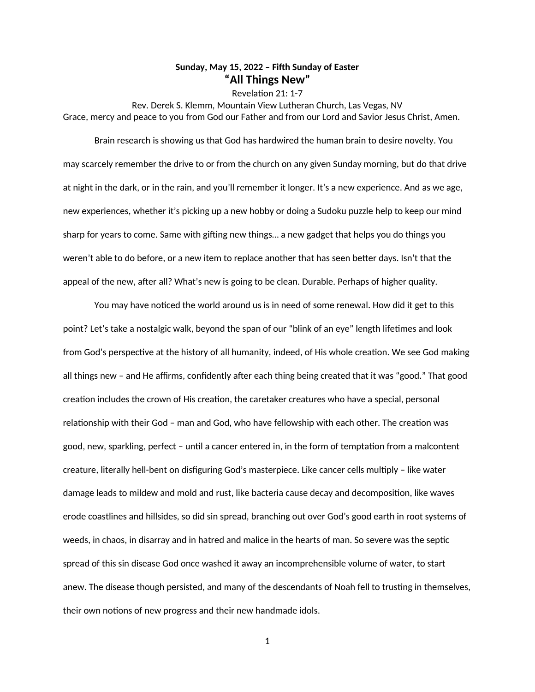## **Sunday, May 15, 2022 – Fifth Sunday of Easter "All Things New"**

Revelation 21: 1-7

Rev. Derek S. Klemm, Mountain View Lutheran Church, Las Vegas, NV Grace, mercy and peace to you from God our Father and from our Lord and Savior Jesus Christ, Amen.

Brain research is showing us that God has hardwired the human brain to desire novelty. You may scarcely remember the drive to or from the church on any given Sunday morning, but do that drive at night in the dark, or in the rain, and you'll remember it longer. It's a new experience. And as we age, new experiences, whether it's picking up a new hobby or doing a Sudoku puzzle help to keep our mind sharp for years to come. Same with gifting new things… a new gadget that helps you do things you weren't able to do before, or a new item to replace another that has seen better days. Isn't that the appeal of the new, after all? What's new is going to be clean. Durable. Perhaps of higher quality.

You may have noticed the world around us is in need of some renewal. How did it get to this point? Let's take a nostalgic walk, beyond the span of our "blink of an eye" length lifetimes and look from God's perspective at the history of all humanity, indeed, of His whole creation. We see God making all things new – and He affirms, confidently after each thing being created that it was "good." That good creation includes the crown of His creation, the caretaker creatures who have a special, personal relationship with their God – man and God, who have fellowship with each other. The creation was good, new, sparkling, perfect – until a cancer entered in, in the form of temptation from a malcontent creature, literally hell-bent on disfiguring God's masterpiece. Like cancer cells multiply – like water damage leads to mildew and mold and rust, like bacteria cause decay and decomposition, like waves erode coastlines and hillsides, so did sin spread, branching out over God's good earth in root systems of weeds, in chaos, in disarray and in hatred and malice in the hearts of man. So severe was the septic spread of this sin disease God once washed it away an incomprehensible volume of water, to start anew. The disease though persisted, and many of the descendants of Noah fell to trusting in themselves, their own notions of new progress and their new handmade idols.

1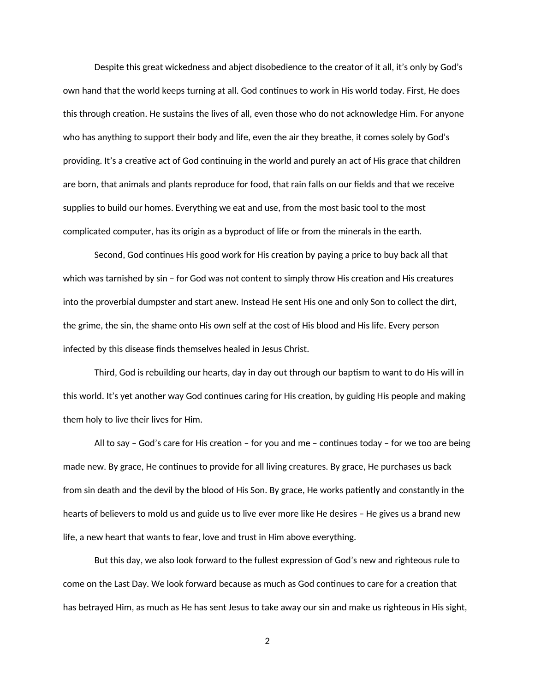Despite this great wickedness and abject disobedience to the creator of it all, it's only by God's own hand that the world keeps turning at all. God continues to work in His world today. First, He does this through creation. He sustains the lives of all, even those who do not acknowledge Him. For anyone who has anything to support their body and life, even the air they breathe, it comes solely by God's providing. It's a creative act of God continuing in the world and purely an act of His grace that children are born, that animals and plants reproduce for food, that rain falls on our fields and that we receive supplies to build our homes. Everything we eat and use, from the most basic tool to the most complicated computer, has its origin as a byproduct of life or from the minerals in the earth.

Second, God continues His good work for His creation by paying a price to buy back all that which was tarnished by sin – for God was not content to simply throw His creation and His creatures into the proverbial dumpster and start anew. Instead He sent His one and only Son to collect the dirt, the grime, the sin, the shame onto His own self at the cost of His blood and His life. Every person infected by this disease finds themselves healed in Jesus Christ.

Third, God is rebuilding our hearts, day in day out through our baptism to want to do His will in this world. It's yet another way God continues caring for His creation, by guiding His people and making them holy to live their lives for Him.

All to say – God's care for His creation – for you and me – continues today – for we too are being made new. By grace, He continues to provide for all living creatures. By grace, He purchases us back from sin death and the devil by the blood of His Son. By grace, He works patiently and constantly in the hearts of believers to mold us and guide us to live ever more like He desires – He gives us a brand new life, a new heart that wants to fear, love and trust in Him above everything.

But this day, we also look forward to the fullest expression of God's new and righteous rule to come on the Last Day. We look forward because as much as God continues to care for a creation that has betrayed Him, as much as He has sent Jesus to take away our sin and make us righteous in His sight,

2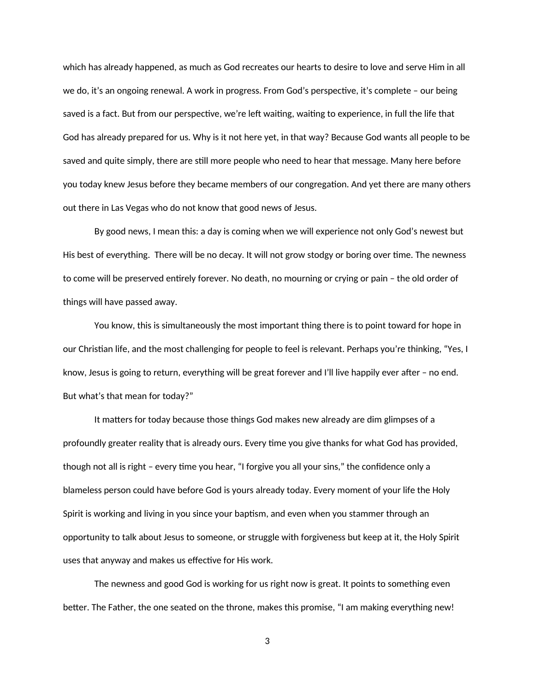which has already happened, as much as God recreates our hearts to desire to love and serve Him in all we do, it's an ongoing renewal. A work in progress. From God's perspective, it's complete – our being saved is a fact. But from our perspective, we're left waiting, waiting to experience, in full the life that God has already prepared for us. Why is it not here yet, in that way? Because God wants all people to be saved and quite simply, there are still more people who need to hear that message. Many here before you today knew Jesus before they became members of our congregation. And yet there are many others out there in Las Vegas who do not know that good news of Jesus.

By good news, I mean this: a day is coming when we will experience not only God's newest but His best of everything. There will be no decay. It will not grow stodgy or boring over time. The newness to come will be preserved entirely forever. No death, no mourning or crying or pain – the old order of things will have passed away.

You know, this is simultaneously the most important thing there is to point toward for hope in our Christian life, and the most challenging for people to feel is relevant. Perhaps you're thinking, "Yes, I know, Jesus is going to return, everything will be great forever and I'll live happily ever after – no end. But what's that mean for today?"

It matters for today because those things God makes new already are dim glimpses of a profoundly greater reality that is already ours. Every time you give thanks for what God has provided, though not all is right – every time you hear, "I forgive you all your sins," the confidence only a blameless person could have before God is yours already today. Every moment of your life the Holy Spirit is working and living in you since your baptism, and even when you stammer through an opportunity to talk about Jesus to someone, or struggle with forgiveness but keep at it, the Holy Spirit uses that anyway and makes us effective for His work.

The newness and good God is working for us right now is great. It points to something even better. The Father, the one seated on the throne, makes this promise, "I am making everything new!

3